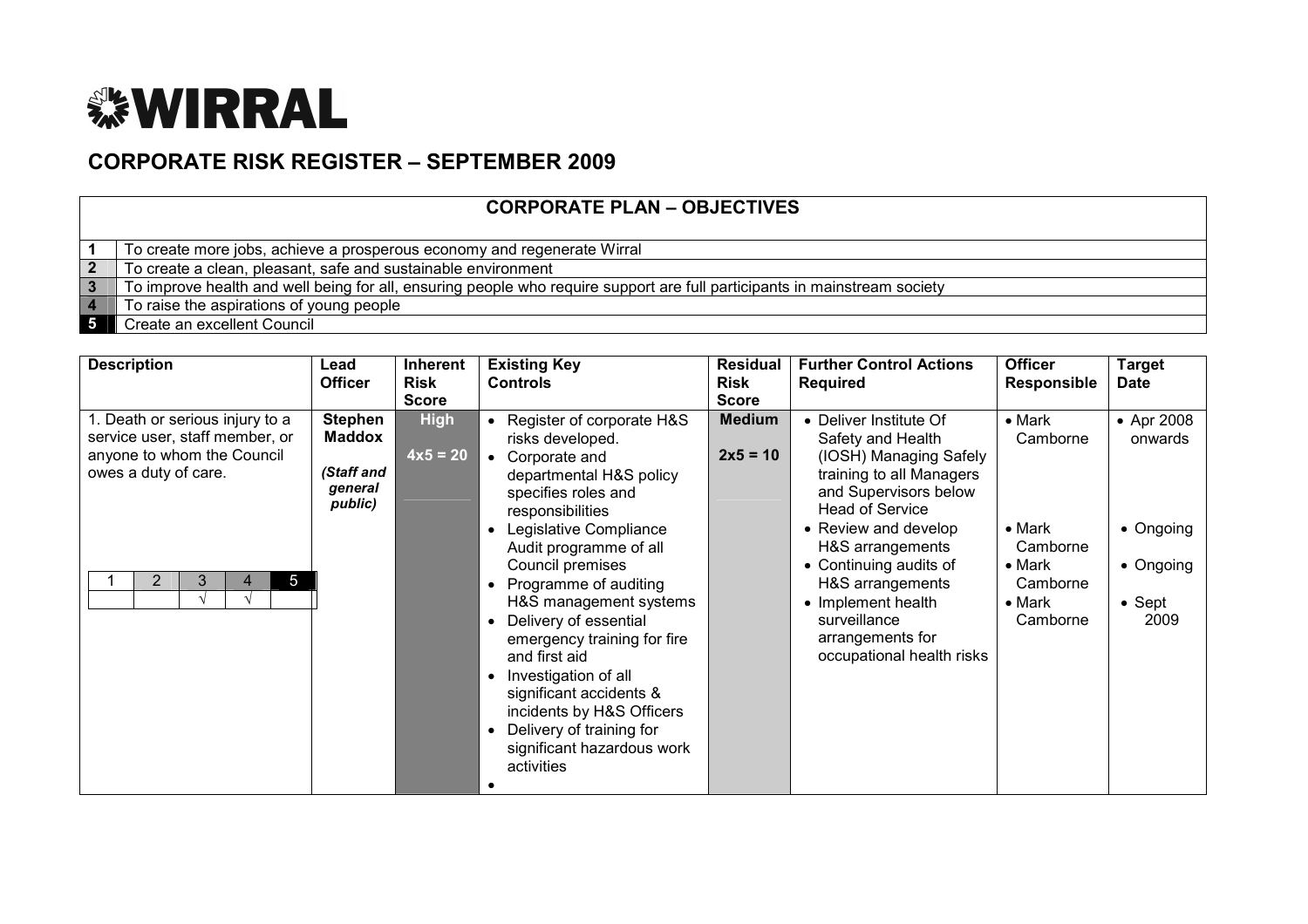

## CORPORATE RISK REGISTER – SEPTEMBER 2009

|--|

|  |  |  |  | To create more jobs, achieve a prosperous economy and regenerate Wirral |
|--|--|--|--|-------------------------------------------------------------------------|
|--|--|--|--|-------------------------------------------------------------------------|

- 2 To create a clean, pleasant, safe and sustainable environment
- 3 To improve health and well being for all, ensuring people who require support are full participants in mainstream society
- 4 To raise the aspirations of young people
- 5 Create an excellent Council

| <b>Description</b>                                                                                                                                               | Lead<br><b>Officer</b>                                              | <b>Inherent</b><br><b>Risk</b><br><b>Score</b> | <b>Existing Key</b><br><b>Controls</b>                                                                                                                                                                                                                                                                                                                                                                                                                                                           | Residual<br>Risk<br><b>Score</b> | <b>Further Control Actions</b><br><b>Required</b>                                                                                                                                                                                                                                                                                     | <b>Officer</b><br><b>Responsible</b>                                                                                 | <b>Target</b><br><b>Date</b>                                              |
|------------------------------------------------------------------------------------------------------------------------------------------------------------------|---------------------------------------------------------------------|------------------------------------------------|--------------------------------------------------------------------------------------------------------------------------------------------------------------------------------------------------------------------------------------------------------------------------------------------------------------------------------------------------------------------------------------------------------------------------------------------------------------------------------------------------|----------------------------------|---------------------------------------------------------------------------------------------------------------------------------------------------------------------------------------------------------------------------------------------------------------------------------------------------------------------------------------|----------------------------------------------------------------------------------------------------------------------|---------------------------------------------------------------------------|
| 1. Death or serious injury to a<br>service user, staff member, or<br>anyone to whom the Council<br>owes a duty of care.<br>$\overline{2}$<br>3<br>$\overline{5}$ | <b>Stephen</b><br><b>Maddox</b><br>(Staff and<br>general<br>public) | <b>High</b><br>$\sqrt{4x5} = 20$               | Register of corporate H&S<br>risks developed.<br>Corporate and<br>departmental H&S policy<br>specifies roles and<br>responsibilities<br>Legislative Compliance<br>Audit programme of all<br>Council premises<br>Programme of auditing<br>H&S management systems<br>Delivery of essential<br>emergency training for fire<br>and first aid<br>Investigation of all<br>significant accidents &<br>incidents by H&S Officers<br>Delivery of training for<br>significant hazardous work<br>activities | <b>Medium</b><br>$2x5 = 10$      | • Deliver Institute Of<br>Safety and Health<br>(IOSH) Managing Safely<br>training to all Managers<br>and Supervisors below<br><b>Head of Service</b><br>• Review and develop<br>H&S arrangements<br>• Continuing audits of<br>H&S arrangements<br>• Implement health<br>surveillance<br>arrangements for<br>occupational health risks | $\bullet$ Mark<br>Camborne<br>$\bullet$ Mark<br>Camborne<br>$\bullet$ Mark<br>Camborne<br>$\bullet$ Mark<br>Camborne | • Apr 2008<br>onwards<br>• Ongoing<br>• Ongoing<br>$\bullet$ Sept<br>2009 |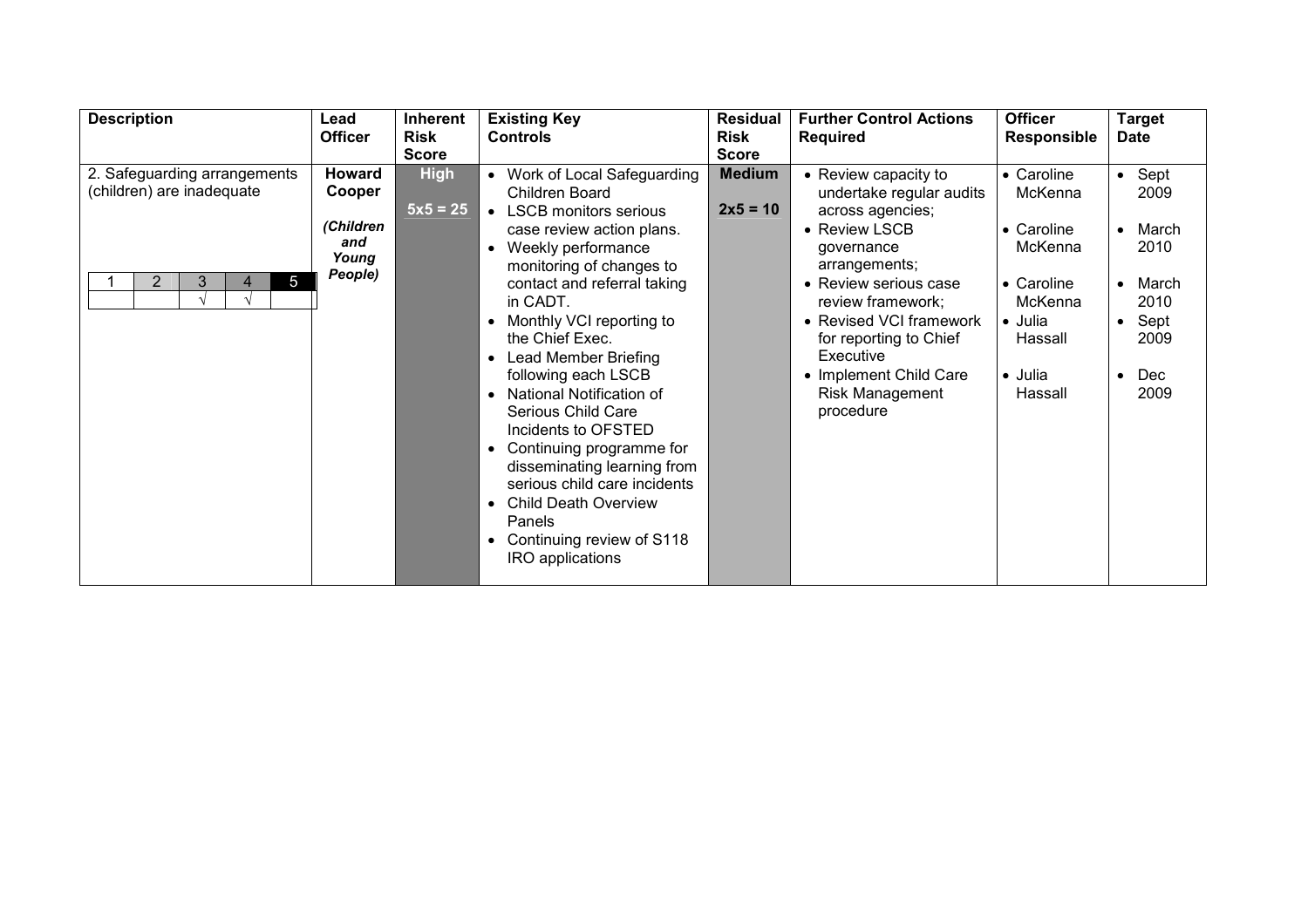| <b>Description</b>                                                                    | Lead<br><b>Officer</b>                                          | Inherent<br><b>Risk</b>   | <b>Existing Key</b><br><b>Controls</b>                                                                                                                                                                                                                                                                                                                                                                                                                                                                                                                                                                    | <b>Residual</b><br><b>Risk</b> | <b>Further Control Actions</b><br><b>Required</b>                                                                                                                                                                                                                                                     | <b>Officer</b><br><b>Responsible</b>                                                                                                        | <b>Target</b><br><b>Date</b>                                                            |
|---------------------------------------------------------------------------------------|-----------------------------------------------------------------|---------------------------|-----------------------------------------------------------------------------------------------------------------------------------------------------------------------------------------------------------------------------------------------------------------------------------------------------------------------------------------------------------------------------------------------------------------------------------------------------------------------------------------------------------------------------------------------------------------------------------------------------------|--------------------------------|-------------------------------------------------------------------------------------------------------------------------------------------------------------------------------------------------------------------------------------------------------------------------------------------------------|---------------------------------------------------------------------------------------------------------------------------------------------|-----------------------------------------------------------------------------------------|
|                                                                                       |                                                                 | <b>Score</b>              |                                                                                                                                                                                                                                                                                                                                                                                                                                                                                                                                                                                                           | <b>Score</b>                   |                                                                                                                                                                                                                                                                                                       |                                                                                                                                             |                                                                                         |
| 2. Safeguarding arrangements<br>(children) are inadequate<br>5<br>$\overline{2}$<br>3 | <b>Howard</b><br>Cooper<br>(Children<br>and<br>Young<br>People) | <b>High</b><br>$5x5 = 25$ | Work of Local Safeguarding<br>Children Board<br><b>LSCB</b> monitors serious<br>$\bullet$<br>case review action plans.<br>Weekly performance<br>monitoring of changes to<br>contact and referral taking<br>in CADT.<br>Monthly VCI reporting to<br>the Chief Exec.<br>Lead Member Briefing<br>following each LSCB<br>National Notification of<br>$\bullet$<br>Serious Child Care<br>Incidents to OFSTED<br>Continuing programme for<br>disseminating learning from<br>serious child care incidents<br><b>Child Death Overview</b><br>Panels<br>Continuing review of S118<br>$\bullet$<br>IRO applications | <b>Medium</b><br>$2x5 = 10$    | • Review capacity to<br>undertake regular audits<br>across agencies;<br>• Review LSCB<br>governance<br>arrangements;<br>• Review serious case<br>review framework;<br>• Revised VCI framework<br>for reporting to Chief<br>Executive<br>• Implement Child Care<br><b>Risk Management</b><br>procedure | • Caroline<br>McKenna<br>$\bullet$ Caroline<br>McKenna<br>$\bullet$ Caroline<br>McKenna<br>• Julia<br>Hassall<br>$\bullet$ Julia<br>Hassall | $\bullet$ Sept<br>2009<br>March<br>2010<br>March<br>2010<br>Sept<br>2009<br>Dec<br>2009 |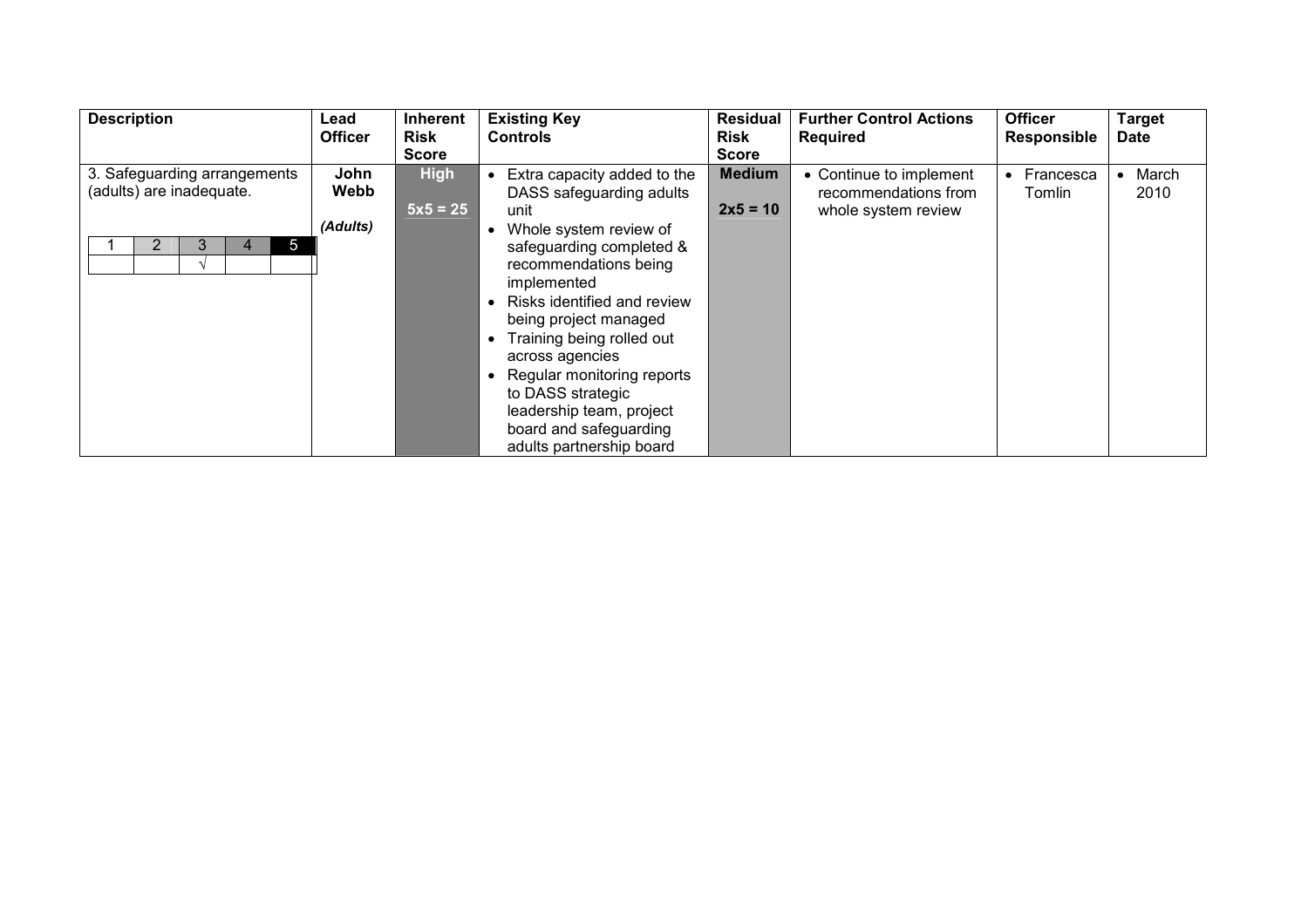| <b>Description</b>           | Lead           | Inherent     | <b>Existing Key</b>         | <b>Residual</b> | <b>Further Control Actions</b> | <b>Officer</b> | <b>Target</b> |
|------------------------------|----------------|--------------|-----------------------------|-----------------|--------------------------------|----------------|---------------|
|                              | <b>Officer</b> | <b>Risk</b>  | <b>Controls</b>             | <b>Risk</b>     | <b>Required</b>                | Responsible    | <b>Date</b>   |
|                              |                | <b>Score</b> |                             | <b>Score</b>    |                                |                |               |
| 3. Safeguarding arrangements | John           | <b>High</b>  | Extra capacity added to the | <b>Medium</b>   | • Continue to implement        | Francesca      | March         |
| (adults) are inadequate.     | Webb           |              | DASS safeguarding adults    |                 | recommendations from           | Tomlin         | 2010          |
|                              |                | $5x5 = 25$   | unit                        | $2x5 = 10$      | whole system review            |                |               |
|                              | (Adults)       |              | Whole system review of      |                 |                                |                |               |
| 3<br>5                       |                |              | safeguarding completed &    |                 |                                |                |               |
|                              |                |              | recommendations being       |                 |                                |                |               |
|                              |                |              | implemented                 |                 |                                |                |               |
|                              |                |              | Risks identified and review |                 |                                |                |               |
|                              |                |              | being project managed       |                 |                                |                |               |
|                              |                |              | Training being rolled out   |                 |                                |                |               |
|                              |                |              | across agencies             |                 |                                |                |               |
|                              |                |              | Regular monitoring reports  |                 |                                |                |               |
|                              |                |              | to DASS strategic           |                 |                                |                |               |
|                              |                |              | leadership team, project    |                 |                                |                |               |
|                              |                |              | board and safeguarding      |                 |                                |                |               |
|                              |                |              | adults partnership board    |                 |                                |                |               |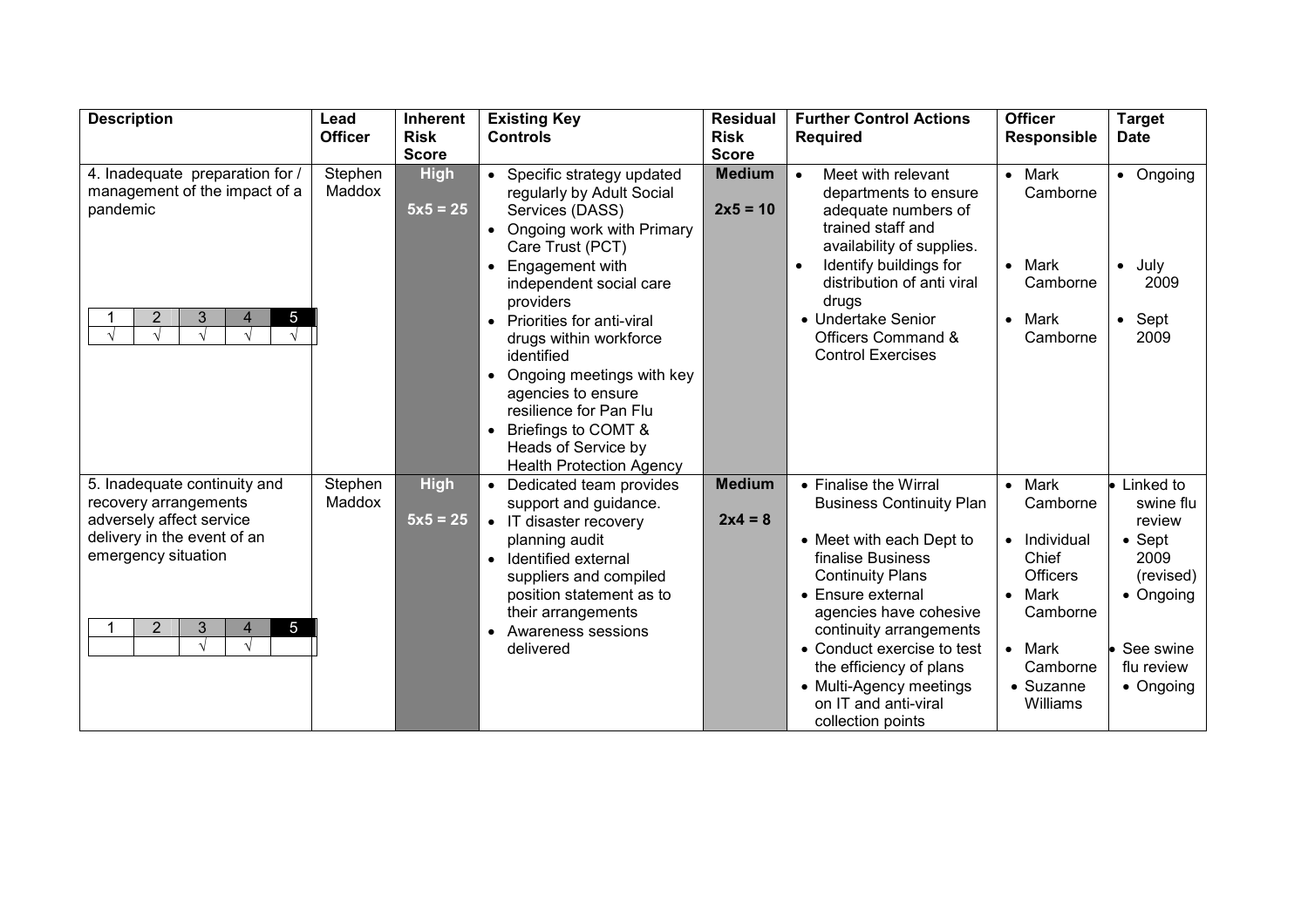| <b>Description</b>                                                   | Lead           | <b>Inherent</b> | <b>Existing Key</b>                                | <b>Residual</b> | <b>Further Control Actions</b>                       | <b>Officer</b>                | <b>Target</b>             |
|----------------------------------------------------------------------|----------------|-----------------|----------------------------------------------------|-----------------|------------------------------------------------------|-------------------------------|---------------------------|
|                                                                      | <b>Officer</b> | <b>Risk</b>     | <b>Controls</b>                                    | <b>Risk</b>     | <b>Required</b>                                      | <b>Responsible</b>            | <b>Date</b>               |
|                                                                      |                | <b>Score</b>    |                                                    | <b>Score</b>    |                                                      |                               |                           |
| 4. Inadequate preparation for /                                      | Stephen        | <b>High</b>     | Specific strategy updated                          | <b>Medium</b>   | Meet with relevant                                   | Mark<br>$\bullet$             | • Ongoing                 |
| management of the impact of a                                        | Maddox         |                 | regularly by Adult Social                          |                 | departments to ensure                                | Camborne                      |                           |
| pandemic                                                             |                | $5x5 = 25$      | Services (DASS)                                    | $2x5 = 10$      | adequate numbers of                                  |                               |                           |
|                                                                      |                |                 | Ongoing work with Primary                          |                 | trained staff and                                    |                               |                           |
|                                                                      |                |                 | Care Trust (PCT)                                   |                 | availability of supplies.                            |                               |                           |
|                                                                      |                |                 | Engagement with                                    |                 | Identify buildings for<br>distribution of anti viral | Mark<br>$\bullet$<br>Camborne | July<br>$\bullet$<br>2009 |
|                                                                      |                |                 | independent social care<br>providers               |                 | drugs                                                |                               |                           |
| $\overline{2}$<br>3<br>5<br>4                                        |                |                 | Priorities for anti-viral<br>$\bullet$             |                 | • Undertake Senior                                   | Mark<br>$\bullet$             | $\bullet$ Sept            |
| $\sqrt{ }$                                                           |                |                 | drugs within workforce                             |                 | Officers Command &                                   | Camborne                      | 2009                      |
|                                                                      |                |                 | identified                                         |                 | <b>Control Exercises</b>                             |                               |                           |
|                                                                      |                |                 | Ongoing meetings with key<br>$\bullet$             |                 |                                                      |                               |                           |
|                                                                      |                |                 | agencies to ensure                                 |                 |                                                      |                               |                           |
|                                                                      |                |                 | resilience for Pan Flu                             |                 |                                                      |                               |                           |
|                                                                      |                |                 | Briefings to COMT &<br>$\bullet$                   |                 |                                                      |                               |                           |
|                                                                      |                |                 | Heads of Service by                                |                 |                                                      |                               |                           |
|                                                                      |                |                 | <b>Health Protection Agency</b>                    |                 |                                                      |                               |                           |
| 5. Inadequate continuity and                                         | Stephen        | <b>High</b>     | Dedicated team provides                            | <b>Medium</b>   | • Finalise the Wirral                                | Mark<br>$\bullet$             | Linked to                 |
| recovery arrangements                                                | Maddox         |                 | support and guidance.                              |                 | <b>Business Continuity Plan</b>                      | Camborne                      | swine flu                 |
| adversely affect service                                             |                | $5x5 = 25$      | IT disaster recovery<br>$\bullet$                  | $2x4 = 8$       |                                                      |                               | review                    |
| delivery in the event of an<br>emergency situation                   |                |                 | planning audit                                     |                 | • Meet with each Dept to                             | Individual<br>$\bullet$       | $\bullet$ Sept            |
|                                                                      |                |                 | Identified external                                |                 | finalise Business                                    | Chief<br><b>Officers</b>      | 2009                      |
|                                                                      |                |                 | suppliers and compiled<br>position statement as to |                 | <b>Continuity Plans</b><br>• Ensure external         | Mark<br>$\bullet$             | (revised)<br>• Ongoing    |
|                                                                      |                |                 | their arrangements                                 |                 | agencies have cohesive                               | Camborne                      |                           |
| $\overline{2}$<br>5 <sup>5</sup><br>$\mathfrak{Z}$<br>$\overline{4}$ |                |                 | Awareness sessions<br>$\bullet$                    |                 | continuity arrangements                              |                               |                           |
|                                                                      |                |                 | delivered                                          |                 | • Conduct exercise to test                           | Mark<br>$\bullet$             | See swine                 |
|                                                                      |                |                 |                                                    |                 | the efficiency of plans                              | Camborne                      | flu review                |
|                                                                      |                |                 |                                                    |                 | • Multi-Agency meetings                              | • Suzanne                     | • Ongoing                 |
|                                                                      |                |                 |                                                    |                 | on IT and anti-viral                                 | Williams                      |                           |
|                                                                      |                |                 |                                                    |                 | collection points                                    |                               |                           |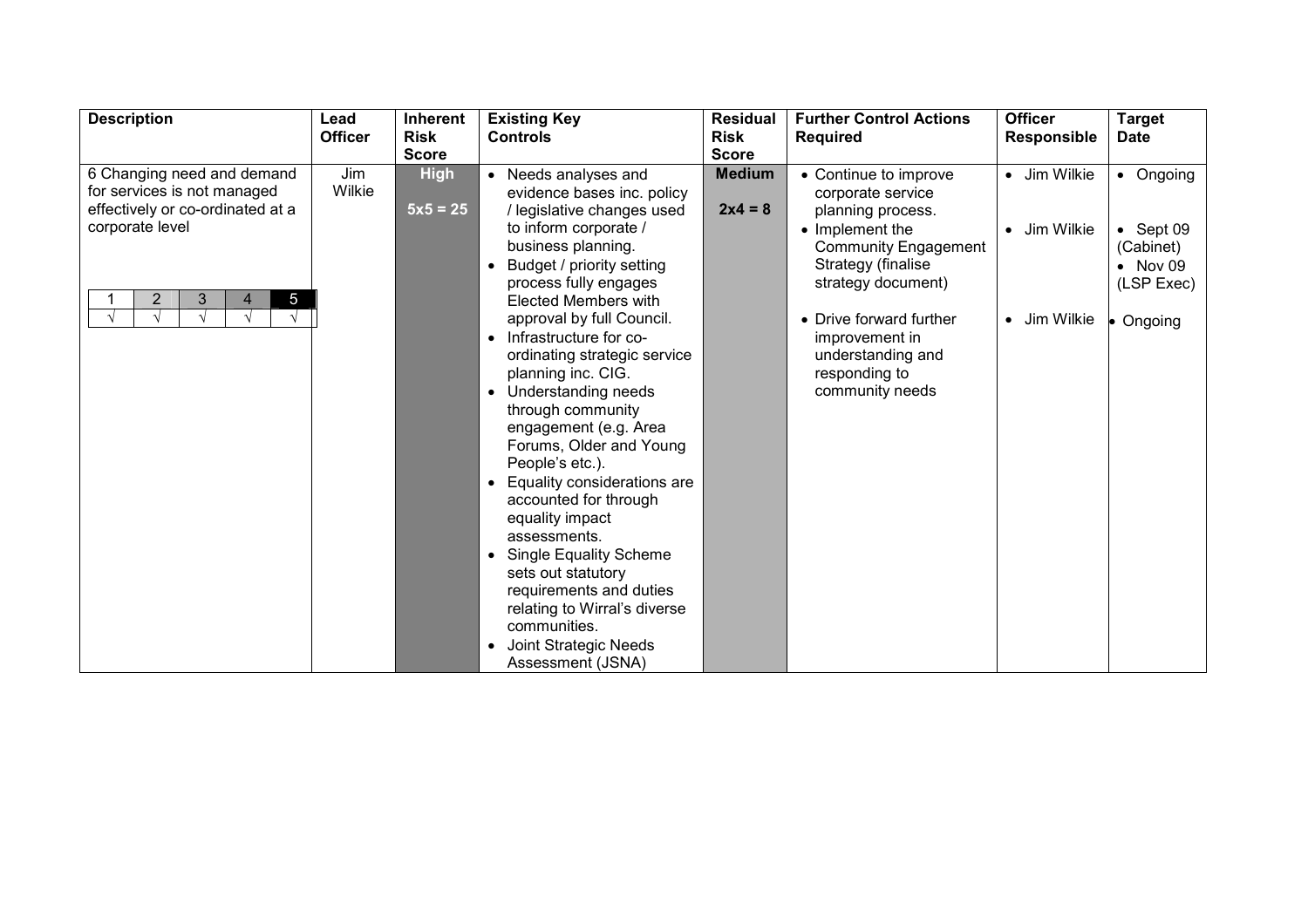| <b>Description</b>                                        | Lead           | Inherent                    | <b>Existing Key</b>                                                                      | <b>Residual</b>             | <b>Further Control Actions</b>                                          | <b>Officer</b>     | <b>Target</b>                               |
|-----------------------------------------------------------|----------------|-----------------------------|------------------------------------------------------------------------------------------|-----------------------------|-------------------------------------------------------------------------|--------------------|---------------------------------------------|
|                                                           | <b>Officer</b> | <b>Risk</b><br><b>Score</b> | <b>Controls</b>                                                                          | <b>Risk</b><br><b>Score</b> | <b>Required</b>                                                         | <b>Responsible</b> | <b>Date</b>                                 |
| 6 Changing need and demand<br>for services is not managed | Jim<br>Wilkie  | <b>High</b>                 | Needs analyses and<br>evidence bases inc. policy                                         | <b>Medium</b>               | • Continue to improve<br>corporate service                              | • Jim Wilkie       | • Ongoing                                   |
| effectively or co-ordinated at a<br>corporate level       |                | $5x5 = 25$                  | / legislative changes used<br>to inform corporate /<br>business planning.                | $2x4 = 8$                   | planning process.<br>• Implement the                                    | • Jim Wilkie       | $\bullet$ Sept 09                           |
|                                                           |                |                             | Budget / priority setting<br>process fully engages                                       |                             | <b>Community Engagement</b><br>Strategy (finalise<br>strategy document) |                    | (Cabinet)<br>$\bullet$ Nov 09<br>(LSP Exec) |
| $\overline{2}$<br>3<br>$5\overline{)}$<br>4               |                |                             | Elected Members with<br>approval by full Council.<br>Infrastructure for co-<br>$\bullet$ |                             | • Drive forward further<br>improvement in                               | • Jim Wilkie       | Ongoing                                     |
|                                                           |                |                             | ordinating strategic service<br>planning inc. CIG.                                       |                             | understanding and<br>responding to                                      |                    |                                             |
|                                                           |                |                             | Understanding needs<br>through community<br>engagement (e.g. Area                        |                             | community needs                                                         |                    |                                             |
|                                                           |                |                             | Forums, Older and Young<br>People's etc.).                                               |                             |                                                                         |                    |                                             |
|                                                           |                |                             | Equality considerations are<br>accounted for through<br>equality impact                  |                             |                                                                         |                    |                                             |
|                                                           |                |                             | assessments.<br><b>Single Equality Scheme</b>                                            |                             |                                                                         |                    |                                             |
|                                                           |                |                             | sets out statutory<br>requirements and duties                                            |                             |                                                                         |                    |                                             |
|                                                           |                |                             | relating to Wirral's diverse<br>communities.                                             |                             |                                                                         |                    |                                             |
|                                                           |                |                             | Joint Strategic Needs<br>Assessment (JSNA)                                               |                             |                                                                         |                    |                                             |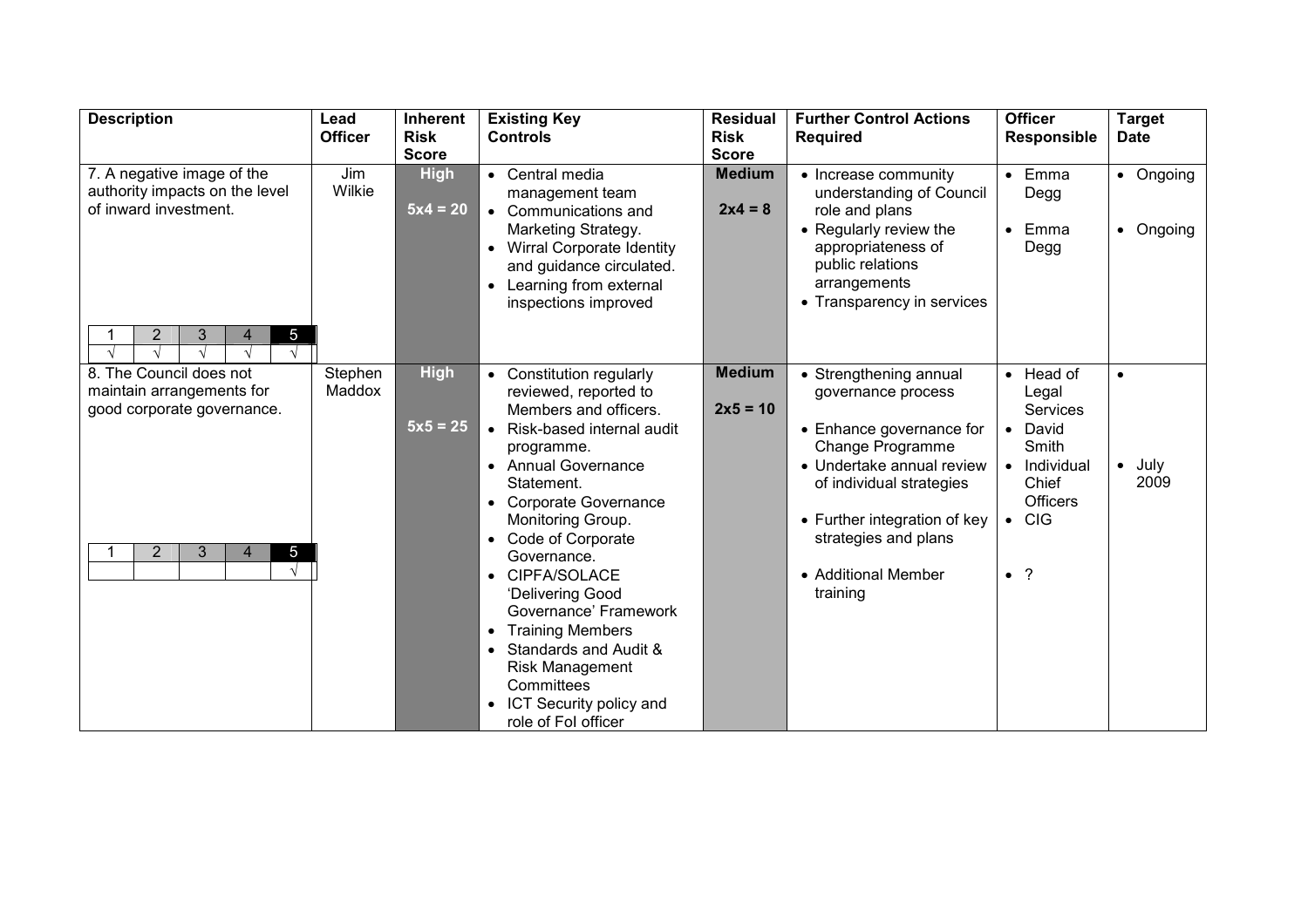| <b>Description</b>                                                   | Lead           | <b>Inherent</b> | <b>Existing Key</b>                                           | <b>Residual</b> | <b>Further Control Actions</b>                        | <b>Officer</b>                   | <b>Target</b> |
|----------------------------------------------------------------------|----------------|-----------------|---------------------------------------------------------------|-----------------|-------------------------------------------------------|----------------------------------|---------------|
|                                                                      | <b>Officer</b> | <b>Risk</b>     | <b>Controls</b>                                               | <b>Risk</b>     | <b>Required</b>                                       | <b>Responsible</b>               | <b>Date</b>   |
|                                                                      |                | <b>Score</b>    |                                                               | <b>Score</b>    |                                                       |                                  |               |
| 7. A negative image of the<br>authority impacts on the level         | Jim<br>Wilkie  | <b>High</b>     | Central media<br>$\bullet$                                    | <b>Medium</b>   | • Increase community                                  | Emma<br>$\bullet$                | • Ongoing     |
| of inward investment.                                                |                | $5x4 = 20$      | management team<br>Communications and<br>$\bullet$            | $2x4 = 8$       | understanding of Council<br>role and plans            | Degg                             |               |
|                                                                      |                |                 | Marketing Strategy.                                           |                 | • Regularly review the                                | Emma<br>$\bullet$                | • Ongoing     |
|                                                                      |                |                 | <b>Wirral Corporate Identity</b><br>$\bullet$                 |                 | appropriateness of                                    | Degg                             |               |
|                                                                      |                |                 | and guidance circulated.                                      |                 | public relations                                      |                                  |               |
|                                                                      |                |                 | Learning from external                                        |                 | arrangements                                          |                                  |               |
|                                                                      |                |                 | inspections improved                                          |                 | • Transparency in services                            |                                  |               |
|                                                                      |                |                 |                                                               |                 |                                                       |                                  |               |
| 3<br>5 <sub>5</sub><br>2<br>$\overline{4}$<br>$\sqrt{ }$             |                |                 |                                                               |                 |                                                       |                                  |               |
| 8. The Council does not                                              | Stephen        | <b>High</b>     | Constitution regularly                                        | <b>Medium</b>   | • Strengthening annual                                | Head of<br>$\bullet$             | $\bullet$     |
| maintain arrangements for                                            | Maddox         |                 | reviewed, reported to                                         |                 | governance process                                    | Legal                            |               |
| good corporate governance.                                           |                |                 | Members and officers.                                         | $2x5 = 10$      |                                                       | <b>Services</b>                  |               |
|                                                                      |                | $5x5 = 25$      | Risk-based internal audit                                     |                 | • Enhance governance for                              | David<br>$\bullet$               |               |
|                                                                      |                |                 | programme.                                                    |                 | Change Programme                                      | Smith                            |               |
|                                                                      |                |                 | <b>Annual Governance</b><br>$\bullet$<br>Statement.           |                 | • Undertake annual review<br>of individual strategies | Individual<br>$\bullet$<br>Chief | July<br>2009  |
|                                                                      |                |                 | <b>Corporate Governance</b>                                   |                 |                                                       | <b>Officers</b>                  |               |
|                                                                      |                |                 | Monitoring Group.                                             |                 | • Further integration of key                          | <b>CIG</b><br>$\bullet$          |               |
|                                                                      |                |                 | Code of Corporate<br>$\bullet$                                |                 | strategies and plans                                  |                                  |               |
| $\overline{2}$<br>$\mathfrak{Z}$<br>5 <sub>5</sub><br>$\overline{4}$ |                |                 | Governance.                                                   |                 |                                                       |                                  |               |
| $\sqrt{ }$                                                           |                |                 | CIPFA/SOLACE<br>$\bullet$                                     |                 | • Additional Member                                   | $\bullet$ ?                      |               |
|                                                                      |                |                 | 'Delivering Good                                              |                 | training                                              |                                  |               |
|                                                                      |                |                 | Governance' Framework                                         |                 |                                                       |                                  |               |
|                                                                      |                |                 | <b>Training Members</b><br>$\bullet$<br>Standards and Audit & |                 |                                                       |                                  |               |
|                                                                      |                |                 | Risk Management                                               |                 |                                                       |                                  |               |
|                                                                      |                |                 | Committees                                                    |                 |                                                       |                                  |               |
|                                                                      |                |                 | ICT Security policy and                                       |                 |                                                       |                                  |               |
|                                                                      |                |                 | role of Fol officer                                           |                 |                                                       |                                  |               |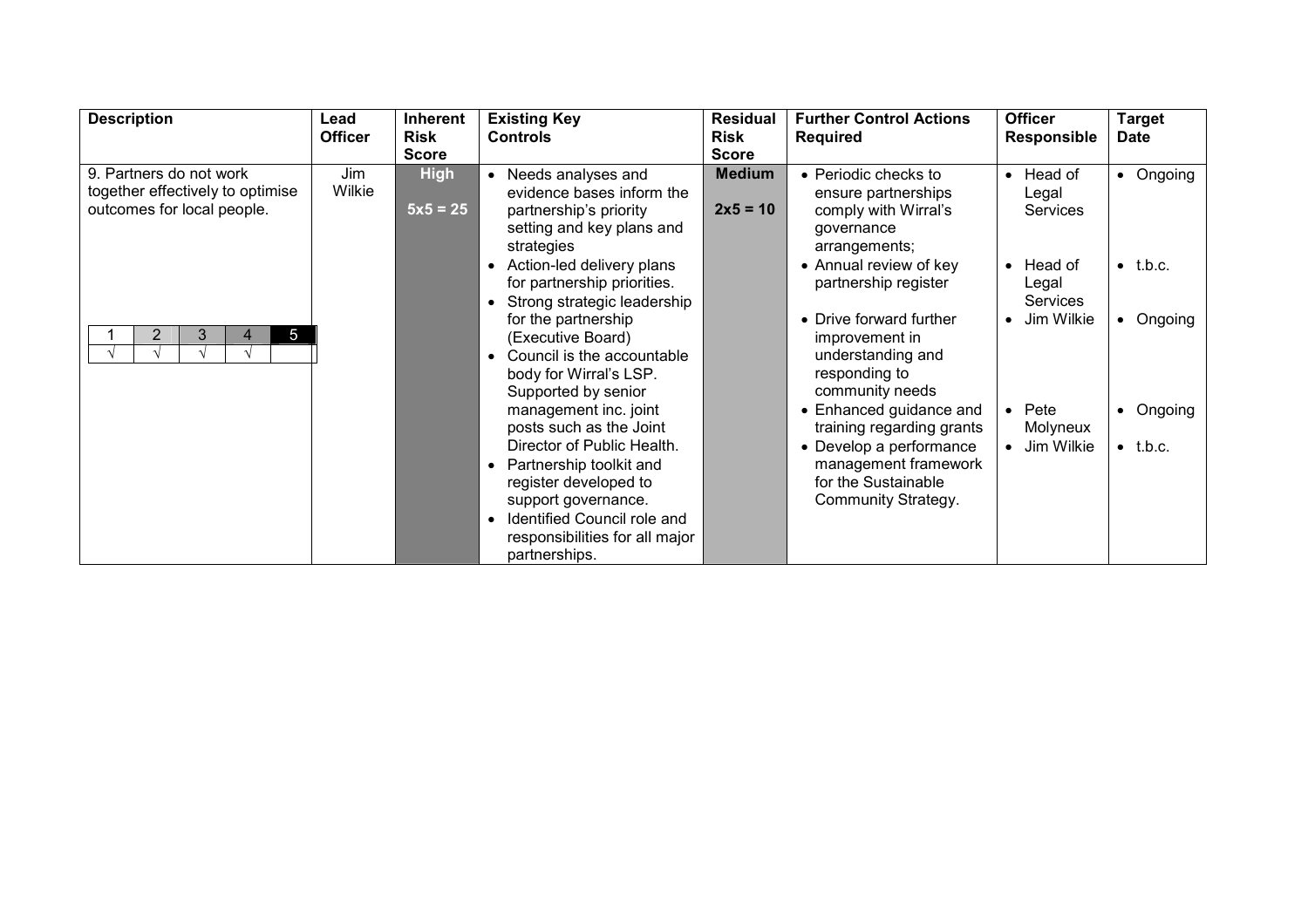| <b>Description</b>                                                                        | Lead<br><b>Officer</b> | <b>Inherent</b><br><b>Risk</b> | <b>Existing Key</b><br><b>Controls</b>                                                                                               | <b>Residual</b><br>Risk     | <b>Further Control Actions</b><br><b>Required</b>                                                  | <b>Officer</b><br>Responsible                    | <b>Target</b><br><b>Date</b>  |
|-------------------------------------------------------------------------------------------|------------------------|--------------------------------|--------------------------------------------------------------------------------------------------------------------------------------|-----------------------------|----------------------------------------------------------------------------------------------------|--------------------------------------------------|-------------------------------|
|                                                                                           |                        | <b>Score</b>                   |                                                                                                                                      | <b>Score</b>                |                                                                                                    |                                                  |                               |
| 9. Partners do not work<br>together effectively to optimise<br>outcomes for local people. | Jim<br>Wilkie          | <b>High</b><br>$5x5 = 25$      | Needs analyses and<br>evidence bases inform the<br>partnership's priority<br>setting and key plans and<br>strategies                 | <b>Medium</b><br>$2x5 = 10$ | • Periodic checks to<br>ensure partnerships<br>comply with Wirral's<br>governance<br>arrangements; | Head of<br>$\bullet$<br>Legal<br>Services        | • Ongoing                     |
|                                                                                           |                        |                                | Action-led delivery plans<br>for partnership priorities.<br>Strong strategic leadership                                              |                             | • Annual review of key<br>partnership register                                                     | Head of<br>$\bullet$<br>Legal<br><b>Services</b> | $\bullet$ t.b.c.              |
| 5 <sub>5</sub><br>3<br>4                                                                  |                        |                                | for the partnership<br>(Executive Board)<br>Council is the accountable<br>$\bullet$<br>body for Wirral's LSP.<br>Supported by senior |                             | • Drive forward further<br>improvement in<br>understanding and<br>responding to<br>community needs | Jim Wilkie<br>$\bullet$                          | • Ongoing                     |
|                                                                                           |                        |                                | management inc. joint<br>posts such as the Joint<br>Director of Public Health.                                                       |                             | • Enhanced guidance and<br>training regarding grants<br>• Develop a performance                    | Pete<br>Molyneux<br>Jim Wilkie                   | • Ongoing<br>$\bullet$ t.b.c. |
|                                                                                           |                        |                                | Partnership toolkit and<br>register developed to<br>support governance.<br>Identified Council role and                               |                             | management framework<br>for the Sustainable<br>Community Strategy.                                 |                                                  |                               |
|                                                                                           |                        |                                | responsibilities for all major<br>partnerships.                                                                                      |                             |                                                                                                    |                                                  |                               |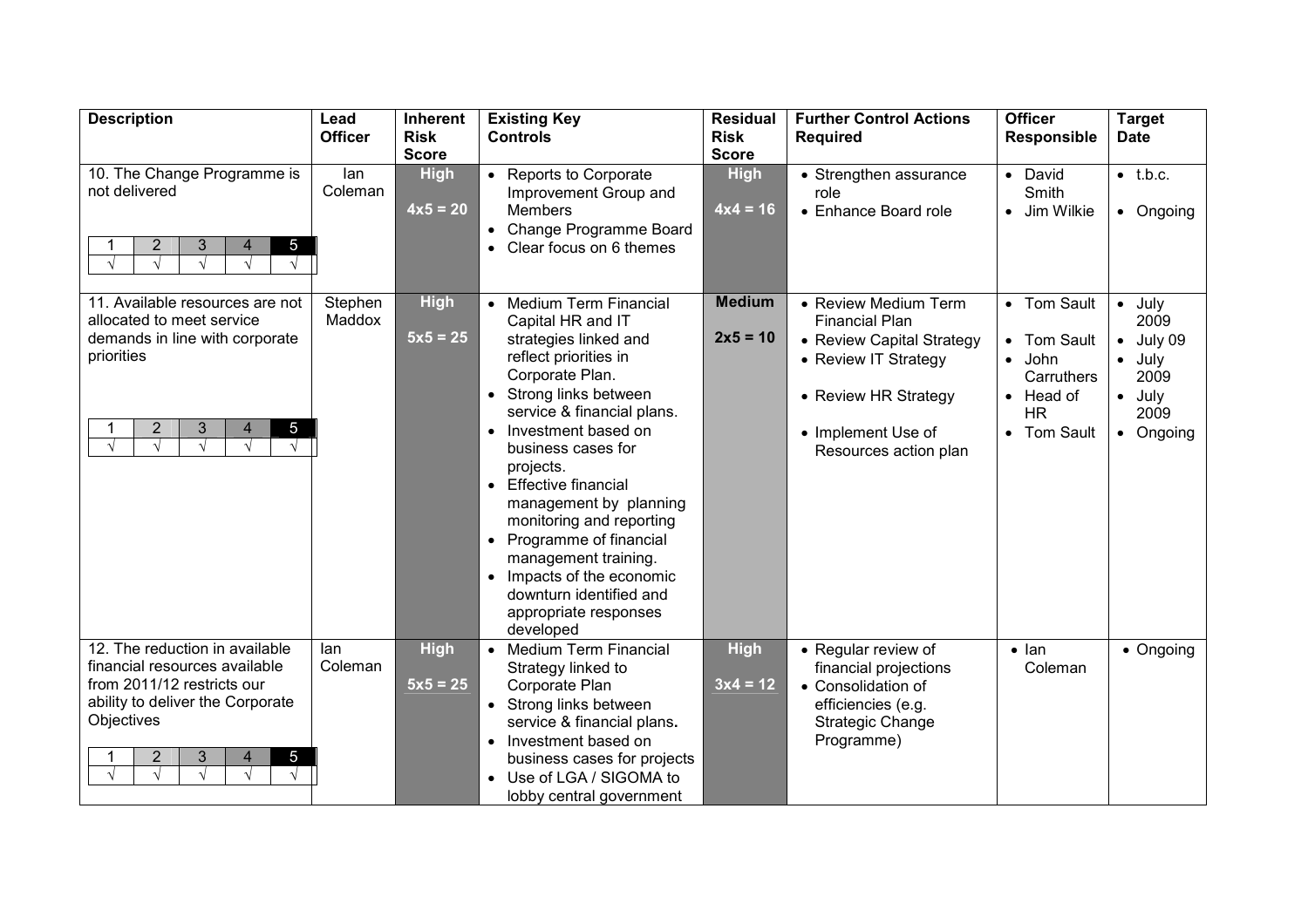| <b>Description</b>                                                                                                                                                                                                         | Lead<br><b>Officer</b> | Inherent<br><b>Risk</b>   | <b>Existing Key</b><br><b>Controls</b>                                                                                                                                                                                                                                                                                                                                                                                                                                                                                                                 | <b>Residual</b><br><b>Risk</b> | <b>Further Control Actions</b><br><b>Required</b>                                                                                                                         | <b>Officer</b><br><b>Responsible</b>                                                                                                                  | <b>Target</b><br><b>Date</b>                                                                       |
|----------------------------------------------------------------------------------------------------------------------------------------------------------------------------------------------------------------------------|------------------------|---------------------------|--------------------------------------------------------------------------------------------------------------------------------------------------------------------------------------------------------------------------------------------------------------------------------------------------------------------------------------------------------------------------------------------------------------------------------------------------------------------------------------------------------------------------------------------------------|--------------------------------|---------------------------------------------------------------------------------------------------------------------------------------------------------------------------|-------------------------------------------------------------------------------------------------------------------------------------------------------|----------------------------------------------------------------------------------------------------|
|                                                                                                                                                                                                                            |                        | <b>Score</b>              |                                                                                                                                                                                                                                                                                                                                                                                                                                                                                                                                                        | <b>Score</b>                   |                                                                                                                                                                           |                                                                                                                                                       |                                                                                                    |
| 10. The Change Programme is<br>not delivered<br>$\overline{2}$<br>3<br>$5\overline{)}$<br>4<br>$\sqrt{ }$                                                                                                                  | lan<br>Coleman         | <b>High</b><br>$4x5 = 20$ | • Reports to Corporate<br>Improvement Group and<br><b>Members</b><br>Change Programme Board<br>$\bullet$<br>Clear focus on 6 themes                                                                                                                                                                                                                                                                                                                                                                                                                    | <b>High</b><br>$4x4 = 16$      | • Strengthen assurance<br>role<br>• Enhance Board role                                                                                                                    | • David<br>Smith<br>Jim Wilkie<br>$\bullet$                                                                                                           | $\bullet$ t.b.c.<br>• Ongoing                                                                      |
| 11. Available resources are not<br>allocated to meet service<br>demands in line with corporate<br>priorities<br>$\overline{2}$<br>3<br>$5\overline{)}$<br>4<br>$\sqrt{ }$<br>$\sqrt{ }$<br>$\sqrt{ }$<br>$\sqrt{ }$        | Stephen<br>Maddox      | <b>High</b><br>$5x5 = 25$ | <b>Medium Term Financial</b><br>$\bullet$<br>Capital HR and IT<br>strategies linked and<br>reflect priorities in<br>Corporate Plan.<br>Strong links between<br>$\bullet$<br>service & financial plans.<br>Investment based on<br>$\bullet$<br>business cases for<br>projects.<br><b>Effective financial</b><br>$\bullet$<br>management by planning<br>monitoring and reporting<br>Programme of financial<br>$\bullet$<br>management training.<br>Impacts of the economic<br>$\bullet$<br>downturn identified and<br>appropriate responses<br>developed | <b>Medium</b><br>$2x5 = 10$    | • Review Medium Term<br><b>Financial Plan</b><br>• Review Capital Strategy<br>• Review IT Strategy<br>• Review HR Strategy<br>• Implement Use of<br>Resources action plan | • Tom Sault<br><b>Tom Sault</b><br>$\bullet$<br>John<br>$\bullet$<br>Carruthers<br>Head of<br>$\bullet$<br><b>HR</b><br><b>Tom Sault</b><br>$\bullet$ | $\bullet$ July<br>2009<br>July 09<br>$\bullet$ July<br>2009<br>$\bullet$ July<br>2009<br>• Ongoing |
| 12. The reduction in available<br>financial resources available<br>from 2011/12 restricts our<br>ability to deliver the Corporate<br>Objectives<br>2<br>3<br>$5\overline{)}$<br>$\overline{4}$<br>$\sqrt{ }$<br>$\sqrt{ }$ | lan<br>Coleman         | <b>High</b><br>$5x5 = 25$ | <b>Medium Term Financial</b><br>$\bullet$<br>Strategy linked to<br>Corporate Plan<br>Strong links between<br>service & financial plans.<br>Investment based on<br>$\bullet$<br>business cases for projects<br>Use of LGA / SIGOMA to<br>lobby central government                                                                                                                                                                                                                                                                                       | <b>High</b><br>$3x4 = 12$      | • Regular review of<br>financial projections<br>• Consolidation of<br>efficiencies (e.g.<br><b>Strategic Change</b><br>Programme)                                         | $\bullet$ lan<br>Coleman                                                                                                                              | • Ongoing                                                                                          |